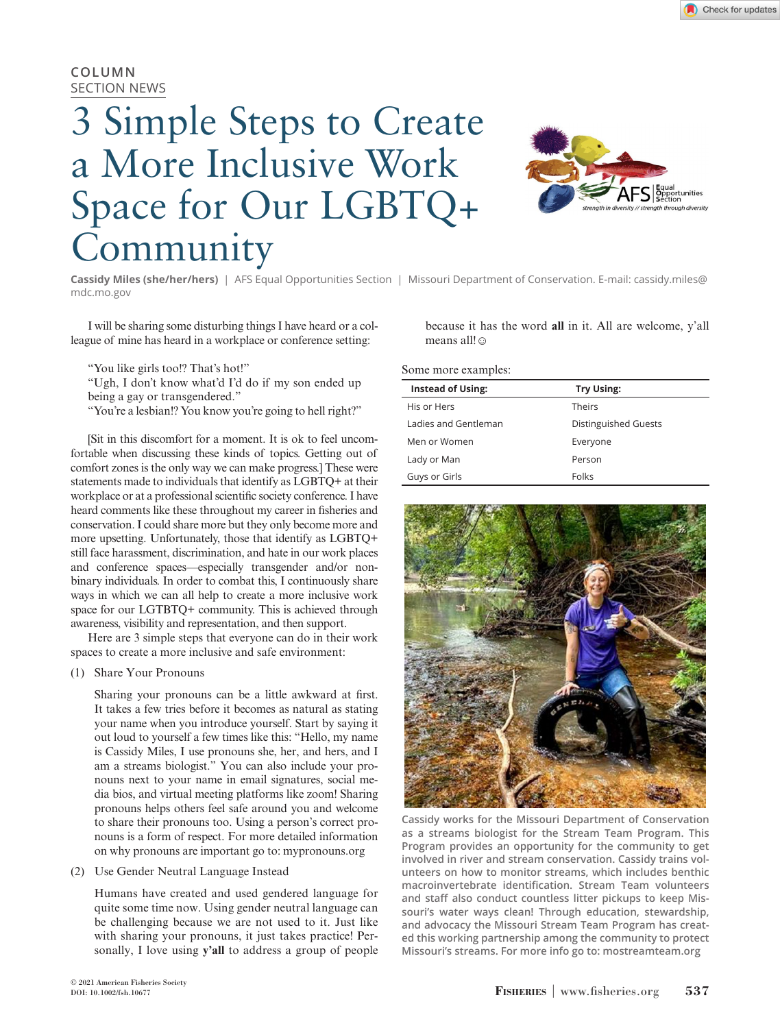# **COLUMN** SECTION NEWS

# 3 Simple Steps to Create a More Inclusive Work Space for Our LGBTQ+ Community



**Cassidy Miles (she/her/hers)** | AFS Equal Opportunities Section | Missouri Department of Conservation. E-mail: cassidy.miles@ mdc.mo.gov

I will be sharing some disturbing things I have heard or a colleague of mine has heard in a workplace or conference setting:

"You like girls too!? That's hot!"

"Ugh, I don't know what'd I'd do if my son ended up being a gay or transgendered."

"You're a lesbian!? You know you're going to hell right?"

[Sit in this discomfort for a moment. It is ok to feel uncomfortable when discussing these kinds of topics. Getting out of comfort zones is the only way we can make progress.] These were statements made to individuals that identify as LGBTQ+ at their workplace or at a professional scientific society conference. I have heard comments like these throughout my career in fisheries and conservation. I could share more but they only become more and more upsetting. Unfortunately, those that identify as LGBTQ+ still face harassment, discrimination, and hate in our work places and conference spaces—especially transgender and/or nonbinary individuals. In order to combat this, I continuously share ways in which we can all help to create a more inclusive work space for our LGTBTQ+ community. This is achieved through awareness, visibility and representation, and then support.

Here are 3 simple steps that everyone can do in their work spaces to create a more inclusive and safe environment:

(1) Share Your Pronouns

Sharing your pronouns can be a little awkward at first. It takes a few tries before it becomes as natural as stating your name when you introduce yourself. Start by saying it out loud to yourself a few times like this: "Hello, my name is Cassidy Miles, I use pronouns she, her, and hers, and I am a streams biologist." You can also include your pronouns next to your name in email signatures, social media bios, and virtual meeting platforms like zoom! Sharing pronouns helps others feel safe around you and welcome to share their pronouns too. Using a person's correct pronouns is a form of respect. For more detailed information on why pronouns are important go to: mypronouns.org

(2) Use Gender Neutral Language Instead

Humans have created and used gendered language for quite some time now. Using gender neutral language can be challenging because we are not used to it. Just like with sharing your pronouns, it just takes practice! Personally, I love using **y'all** to address a group of people

because it has the word **all** in it. All are welcome, y'all means all!☺

### Some more examples:

| Distinguished Guests |
|----------------------|
|                      |
|                      |
|                      |
|                      |



**Cassidy works for the Missouri Department of Conservation as a streams biologist for the Stream Team Program. This Program provides an opportunity for the community to get involved in river and stream conservation. Cassidy trains volunteers on how to monitor streams, which includes benthic macroinvertebrate identification. Stream Team volunteers and staff also conduct countless litter pickups to keep Missouri's water ways clean! Through education, stewardship, and advocacy the Missouri Stream Team Program has created this working partnership among the community to protect Missouri's streams. For more info go to: mostreamteam.org**